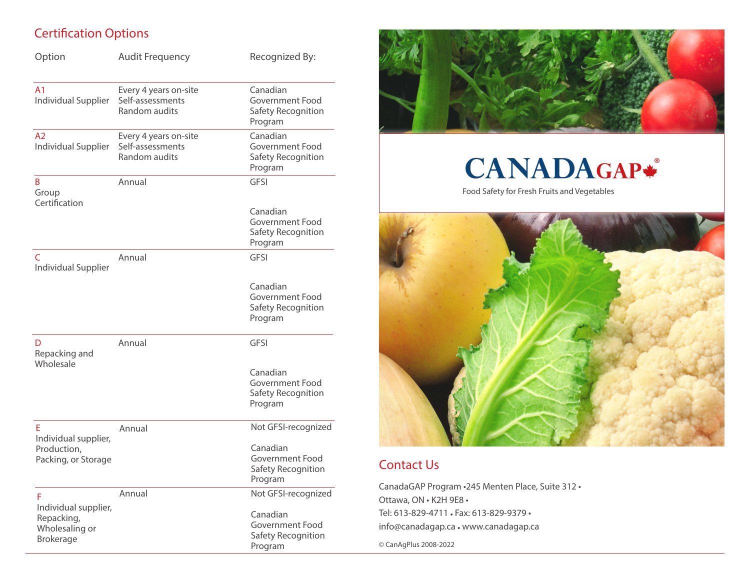## Certification Options

| Option                                                            | <b>Audit Frequency</b>                                     | Recognized By:                                               |
|-------------------------------------------------------------------|------------------------------------------------------------|--------------------------------------------------------------|
| A <sub>1</sub><br>Individual Supplier                             | Every 4 years on-site<br>Self-assessments<br>Random audits | Canadian<br>Government Food<br>Safety Recognition<br>Program |
| A <sub>2</sub><br>Individual Supplier                             | Every 4 years on-site<br>Self-assessments<br>Random audits | Canadian<br>Government Food<br>Safety Recognition<br>Program |
| B<br>Group                                                        | Annual                                                     | <b>GFSI</b>                                                  |
| Certification                                                     |                                                            | Canadian<br>Government Food<br>Safety Recognition<br>Program |
| $\mathsf{C}$<br>Individual Supplier                               | Annual                                                     | <b>GFSI</b>                                                  |
|                                                                   |                                                            | Canadian<br>Government Food<br>Safety Recognition<br>Program |
| D<br>Repacking and<br>Wholesale                                   | Annual                                                     | <b>GFSI</b>                                                  |
|                                                                   |                                                            | Canadian<br>Government Food<br>Safety Recognition<br>Program |
| E                                                                 | Annual                                                     | Not GFSI-recognized                                          |
| Individual supplier,<br>Production,<br>Packing, or Storage        |                                                            | Canadian<br>Government Food<br>Safety Recognition<br>Program |
| F                                                                 | Annual                                                     | Not GFSI-recognized                                          |
| Individual supplier,<br>Repacking,<br>Wholesaling or<br>Brokerage |                                                            | Canadian<br>Government Food<br>Safety Recognition<br>Program |



# **CANADAGAP\***

Food Safety for Fresh Fruits and Vegetables



## Contact Us

CanadaGAP Program •245 Menten Place, Suite 312 • Ottawa, ON • K2H 9E8 • Tel: 613-829-4711 • Fax: 613-829-9379 • info@canadagap.ca • www.canadagap.ca

© CanAgPlus 2008-2022